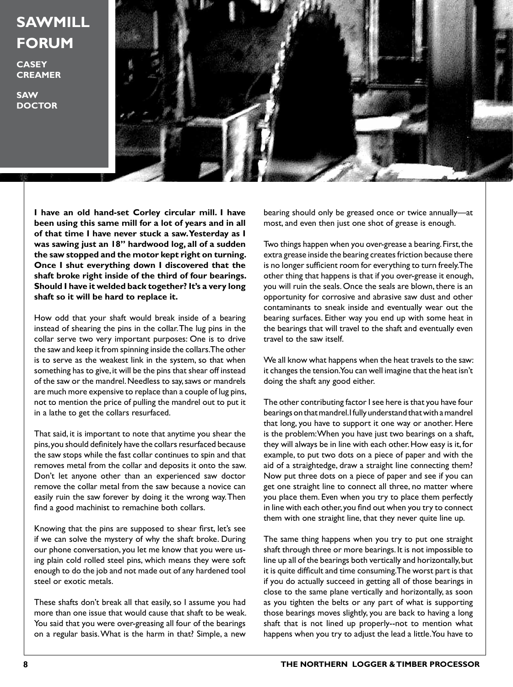## **SAWMILL FORUM**

**CASEY CREAMER**

**SAW DOCTOR**



**I have an old hand-set Corley circular mill. I have been using this same mill for a lot of years and in all of that time I have never stuck a saw. Yesterday as I was sawing just an 18" hardwood log, all of a sudden the saw stopped and the motor kept right on turning. Once I shut everything down I discovered that the shaft broke right inside of the third of four bearings. Should I have it welded back together? It's a very long shaft so it will be hard to replace it.**

How odd that your shaft would break inside of a bearing instead of shearing the pins in the collar. The lug pins in the collar serve two very important purposes: One is to drive the saw and keep it from spinning inside the collars. The other is to serve as the weakest link in the system, so that when something has to give, it will be the pins that shear off instead of the saw or the mandrel. Needless to say, saws or mandrels are much more expensive to replace than a couple of lug pins, not to mention the price of pulling the mandrel out to put it in a lathe to get the collars resurfaced.

That said, it is important to note that anytime you shear the pins, you should definitely have the collars resurfaced because the saw stops while the fast collar continues to spin and that removes metal from the collar and deposits it onto the saw. Don't let anyone other than an experienced saw doctor remove the collar metal from the saw because a novice can easily ruin the saw forever by doing it the wrong way. Then find a good machinist to remachine both collars.

Knowing that the pins are supposed to shear first, let's see if we can solve the mystery of why the shaft broke. During our phone conversation, you let me know that you were using plain cold rolled steel pins, which means they were soft enough to do the job and not made out of any hardened tool steel or exotic metals.

These shafts don't break all that easily, so I assume you had more than one issue that would cause that shaft to be weak. You said that you were over-greasing all four of the bearings on a regular basis. What is the harm in that? Simple, a new

bearing should only be greased once or twice annually—at most, and even then just one shot of grease is enough.

Two things happen when you over-grease a bearing. First, the extra grease inside the bearing creates friction because there is no longer sufficient room for everything to turn freely. The other thing that happens is that if you over-grease it enough, you will ruin the seals. Once the seals are blown, there is an opportunity for corrosive and abrasive saw dust and other contaminants to sneak inside and eventually wear out the bearing surfaces. Either way you end up with some heat in the bearings that will travel to the shaft and eventually even travel to the saw itself.

We all know what happens when the heat travels to the saw: it changes the tension. You can well imagine that the heat isn't doing the shaft any good either.

The other contributing factor I see here is that you have four bearings on that mandrel. I fully understand that with a mandrel that long, you have to support it one way or another. Here is the problem: When you have just two bearings on a shaft, they will always be in line with each other. How easy is it, for example, to put two dots on a piece of paper and with the aid of a straightedge, draw a straight line connecting them? Now put three dots on a piece of paper and see if you can get one straight line to connect all three, no matter where you place them. Even when you try to place them perfectly in line with each other, you find out when you try to connect them with one straight line, that they never quite line up.

The same thing happens when you try to put one straight shaft through three or more bearings. It is not impossible to line up all of the bearings both vertically and horizontally, but it is quite difficult and time consuming. The worst part is that if you do actually succeed in getting all of those bearings in close to the same plane vertically and horizontally, as soon as you tighten the belts or any part of what is supporting those bearings moves slightly, you are back to having a long shaft that is not lined up properly--not to mention what happens when you try to adjust the lead a little. You have to